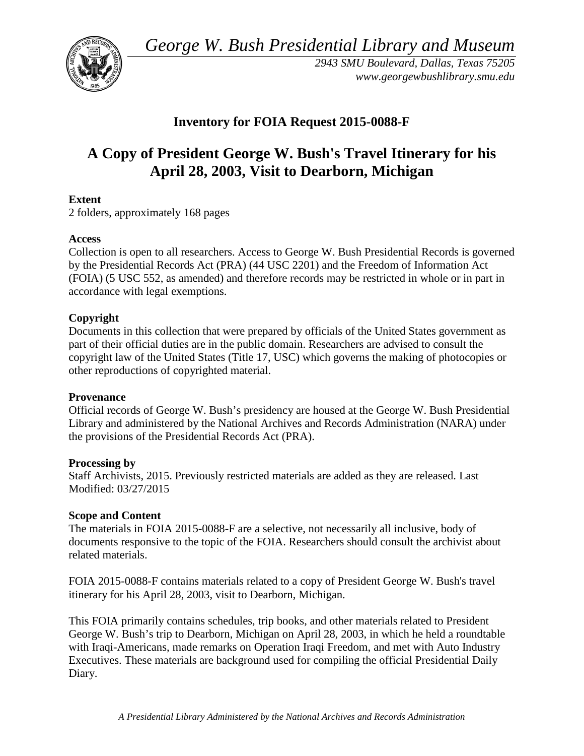*George W. Bush Presidential Library and Museum* 



 *2943 SMU Boulevard, Dallas, Texas 75205 <www.georgewbushlibrary.smu.edu>*

# **Inventory for FOIA Request 2015-0088-F**

# **A Copy of President George W. Bush's Travel Itinerary for his April 28, 2003, Visit to Dearborn, Michigan**

## **Extent**

2 folders, approximately 168 pages

#### **Access**

 by the Presidential Records Act (PRA) (44 USC 2201) and the Freedom of Information Act Collection is open to all researchers. Access to George W. Bush Presidential Records is governed (FOIA) (5 USC 552, as amended) and therefore records may be restricted in whole or in part in accordance with legal exemptions.

## **Copyright**

 Documents in this collection that were prepared by officials of the United States government as part of their official duties are in the public domain. Researchers are advised to consult the copyright law of the United States (Title 17, USC) which governs the making of photocopies or other reproductions of copyrighted material.

#### **Provenance**

 Official records of George W. Bush's presidency are housed at the George W. Bush Presidential Library and administered by the National Archives and Records Administration (NARA) under the provisions of the Presidential Records Act (PRA).

#### **Processing by**

 Modified: 03/27/2015 Staff Archivists, 2015. Previously restricted materials are added as they are released. Last

#### **Scope and Content**

The materials in FOIA 2015-0088-F are a selective, not necessarily all inclusive, body of documents responsive to the topic of the FOIA. Researchers should consult the archivist about related materials.

FOIA 2015-0088-F contains materials related to a copy of President George W. Bush's travel itinerary for his April 28, 2003, visit to Dearborn, Michigan.

This FOIA primarily contains schedules, trip books, and other materials related to President George W. Bush's trip to Dearborn, Michigan on April 28, 2003, in which he held a roundtable with Iraqi-Americans, made remarks on Operation Iraqi Freedom, and met with Auto Industry Executives. These materials are background used for compiling the official Presidential Daily Diary.